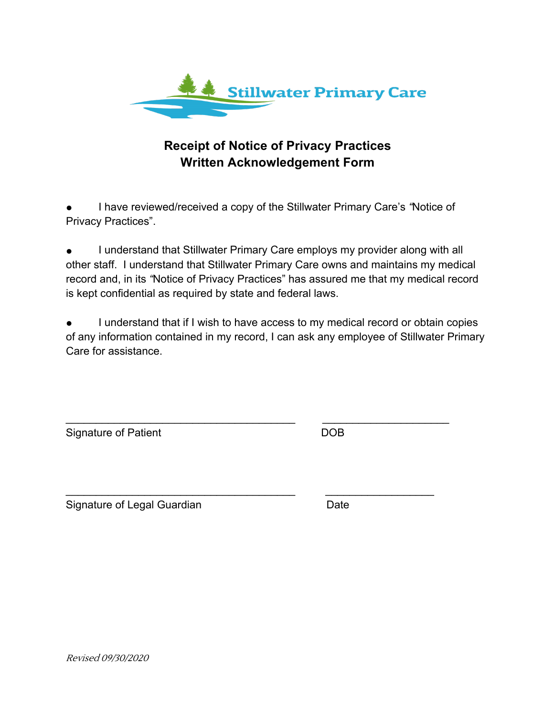

#### **Receipt of Notice of Privacy Practices Written Acknowledgement Form**

● I have reviewed/received a copy of the Stillwater Primary Care's *"*Notice of Privacy Practices".

I understand that Stillwater Primary Care employs my provider along with all other staff. I understand that Stillwater Primary Care owns and maintains my medical record and, in its *"*Notice of Privacy Practices" has assured me that my medical record is kept confidential as required by state and federal laws.

I understand that if I wish to have access to my medical record or obtain copies of any information contained in my record, I can ask any employee of Stillwater Primary Care for assistance.

 $\frac{1}{2}$  ,  $\frac{1}{2}$  ,  $\frac{1}{2}$  ,  $\frac{1}{2}$  ,  $\frac{1}{2}$  ,  $\frac{1}{2}$  ,  $\frac{1}{2}$  ,  $\frac{1}{2}$  ,  $\frac{1}{2}$  ,  $\frac{1}{2}$  ,  $\frac{1}{2}$  ,  $\frac{1}{2}$  ,  $\frac{1}{2}$  ,  $\frac{1}{2}$  ,  $\frac{1}{2}$  ,  $\frac{1}{2}$  ,  $\frac{1}{2}$  ,  $\frac{1}{2}$  ,  $\frac{1$ 

\_\_\_\_\_\_\_\_\_\_\_\_\_\_\_\_\_\_\_\_\_\_\_\_\_\_\_\_\_\_\_\_\_\_\_\_\_\_ \_\_\_\_\_\_\_\_\_\_\_\_\_\_\_\_\_\_

Signature of Patient **DOB** 

Signature of Legal Guardian Date

Revised 09/30/2020